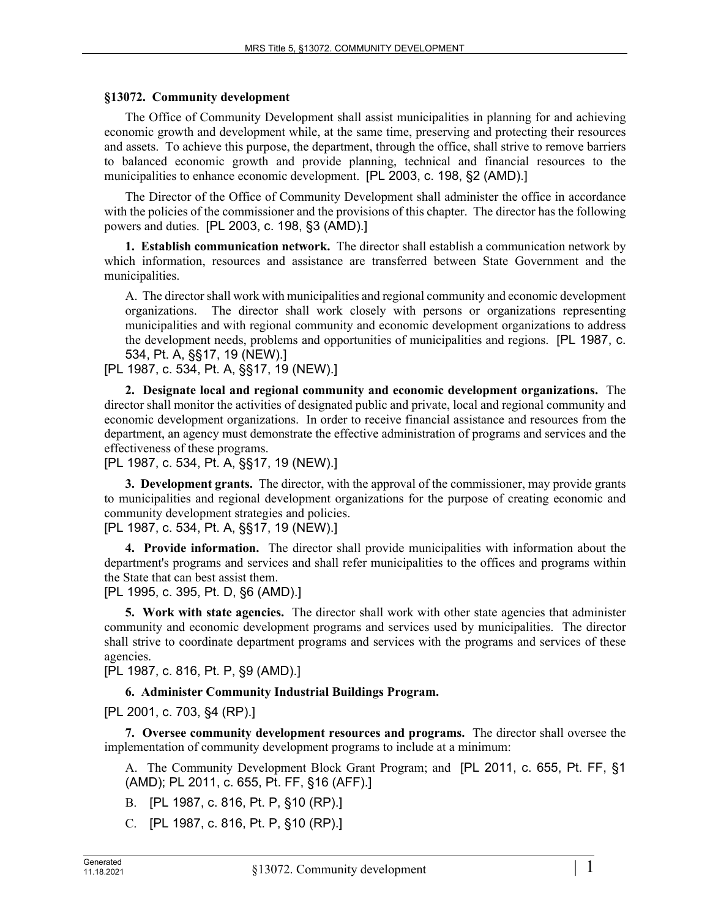## **§13072. Community development**

The Office of Community Development shall assist municipalities in planning for and achieving economic growth and development while, at the same time, preserving and protecting their resources and assets. To achieve this purpose, the department, through the office, shall strive to remove barriers to balanced economic growth and provide planning, technical and financial resources to the municipalities to enhance economic development. [PL 2003, c. 198, §2 (AMD).]

The Director of the Office of Community Development shall administer the office in accordance with the policies of the commissioner and the provisions of this chapter. The director has the following powers and duties. [PL 2003, c. 198, §3 (AMD).]

**1. Establish communication network.** The director shall establish a communication network by which information, resources and assistance are transferred between State Government and the municipalities.

A. The director shall work with municipalities and regional community and economic development organizations. The director shall work closely with persons or organizations representing municipalities and with regional community and economic development organizations to address the development needs, problems and opportunities of municipalities and regions. [PL 1987, c. 534, Pt. A, §§17, 19 (NEW).]

[PL 1987, c. 534, Pt. A, §§17, 19 (NEW).]

**2. Designate local and regional community and economic development organizations.** The director shall monitor the activities of designated public and private, local and regional community and economic development organizations. In order to receive financial assistance and resources from the department, an agency must demonstrate the effective administration of programs and services and the effectiveness of these programs.

[PL 1987, c. 534, Pt. A, §§17, 19 (NEW).]

**3. Development grants.** The director, with the approval of the commissioner, may provide grants to municipalities and regional development organizations for the purpose of creating economic and community development strategies and policies.

[PL 1987, c. 534, Pt. A, §§17, 19 (NEW).]

**4. Provide information.** The director shall provide municipalities with information about the department's programs and services and shall refer municipalities to the offices and programs within the State that can best assist them.

[PL 1995, c. 395, Pt. D, §6 (AMD).]

**5. Work with state agencies.** The director shall work with other state agencies that administer community and economic development programs and services used by municipalities. The director shall strive to coordinate department programs and services with the programs and services of these agencies.

[PL 1987, c. 816, Pt. P, §9 (AMD).]

## **6. Administer Community Industrial Buildings Program.**

[PL 2001, c. 703, §4 (RP).]

**7. Oversee community development resources and programs.** The director shall oversee the implementation of community development programs to include at a minimum:

A. The Community Development Block Grant Program; and [PL 2011, c. 655, Pt. FF, §1 (AMD); PL 2011, c. 655, Pt. FF, §16 (AFF).]

- B. [PL 1987, c. 816, Pt. P, §10 (RP).]
- C. [PL 1987, c. 816, Pt. P, §10 (RP).]